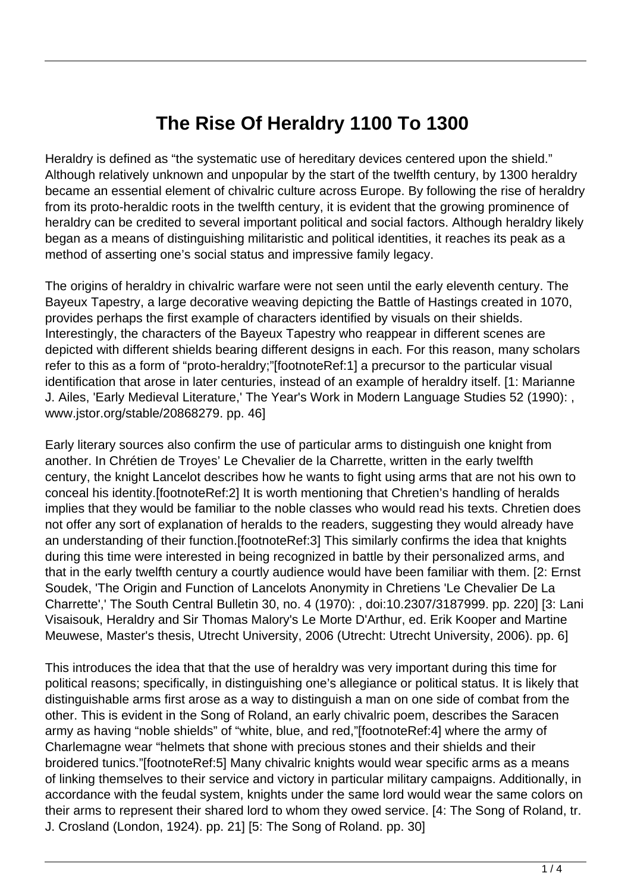## **The Rise Of Heraldry 1100 To 1300**

Heraldry is defined as "the systematic use of hereditary devices centered upon the shield." Although relatively unknown and unpopular by the start of the twelfth century, by 1300 heraldry became an essential element of chivalric culture across Europe. By following the rise of heraldry from its proto-heraldic roots in the twelfth century, it is evident that the growing prominence of heraldry can be credited to several important political and social factors. Although heraldry likely began as a means of distinguishing militaristic and political identities, it reaches its peak as a method of asserting one's social status and impressive family legacy.

The origins of heraldry in chivalric warfare were not seen until the early eleventh century. The Bayeux Tapestry, a large decorative weaving depicting the Battle of Hastings created in 1070, provides perhaps the first example of characters identified by visuals on their shields. Interestingly, the characters of the Bayeux Tapestry who reappear in different scenes are depicted with different shields bearing different designs in each. For this reason, many scholars refer to this as a form of "proto-heraldry;"[footnoteRef:1] a precursor to the particular visual identification that arose in later centuries, instead of an example of heraldry itself. [1: Marianne J. Ailes, 'Early Medieval Literature,' The Year's Work in Modern Language Studies 52 (1990): , www.jstor.org/stable/20868279. pp. 46]

Early literary sources also confirm the use of particular arms to distinguish one knight from another. In Chrétien de Troyes' Le Chevalier de la Charrette, written in the early twelfth century, the knight Lancelot describes how he wants to fight using arms that are not his own to conceal his identity.[footnoteRef:2] It is worth mentioning that Chretien's handling of heralds implies that they would be familiar to the noble classes who would read his texts. Chretien does not offer any sort of explanation of heralds to the readers, suggesting they would already have an understanding of their function.[footnoteRef:3] This similarly confirms the idea that knights during this time were interested in being recognized in battle by their personalized arms, and that in the early twelfth century a courtly audience would have been familiar with them. [2: Ernst Soudek, 'The Origin and Function of Lancelots Anonymity in Chretiens 'Le Chevalier De La Charrette',' The South Central Bulletin 30, no. 4 (1970): , doi:10.2307/3187999. pp. 220] [3: Lani Visaisouk, Heraldry and Sir Thomas Malory's Le Morte D'Arthur, ed. Erik Kooper and Martine Meuwese, Master's thesis, Utrecht University, 2006 (Utrecht: Utrecht University, 2006). pp. 6]

This introduces the idea that that the use of heraldry was very important during this time for political reasons; specifically, in distinguishing one's allegiance or political status. It is likely that distinguishable arms first arose as a way to distinguish a man on one side of combat from the other. This is evident in the Song of Roland, an early chivalric poem, describes the Saracen army as having "noble shields" of "white, blue, and red,"[footnoteRef:4] where the army of Charlemagne wear "helmets that shone with precious stones and their shields and their broidered tunics."[footnoteRef:5] Many chivalric knights would wear specific arms as a means of linking themselves to their service and victory in particular military campaigns. Additionally, in accordance with the feudal system, knights under the same lord would wear the same colors on their arms to represent their shared lord to whom they owed service. [4: The Song of Roland, tr. J. Crosland (London, 1924). pp. 21] [5: The Song of Roland. pp. 30]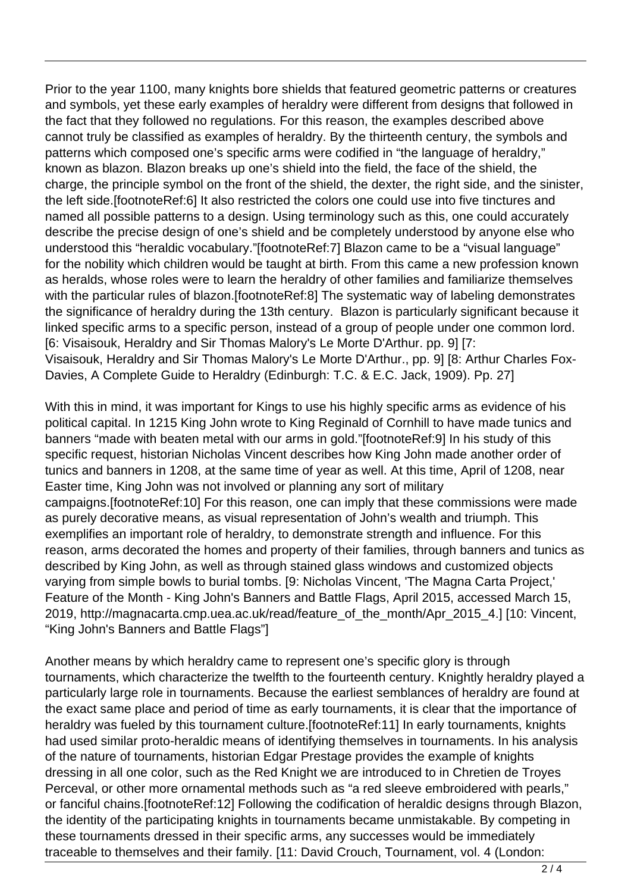Prior to the year 1100, many knights bore shields that featured geometric patterns or creatures and symbols, yet these early examples of heraldry were different from designs that followed in the fact that they followed no regulations. For this reason, the examples described above cannot truly be classified as examples of heraldry. By the thirteenth century, the symbols and patterns which composed one's specific arms were codified in "the language of heraldry," known as blazon. Blazon breaks up one's shield into the field, the face of the shield, the charge, the principle symbol on the front of the shield, the dexter, the right side, and the sinister, the left side.[footnoteRef:6] It also restricted the colors one could use into five tinctures and named all possible patterns to a design. Using terminology such as this, one could accurately describe the precise design of one's shield and be completely understood by anyone else who understood this "heraldic vocabulary."[footnoteRef:7] Blazon came to be a "visual language" for the nobility which children would be taught at birth. From this came a new profession known as heralds, whose roles were to learn the heraldry of other families and familiarize themselves with the particular rules of blazon.[footnoteRef:8] The systematic way of labeling demonstrates the significance of heraldry during the 13th century. Blazon is particularly significant because it linked specific arms to a specific person, instead of a group of people under one common lord. [6: Visaisouk, Heraldry and Sir Thomas Malory's Le Morte D'Arthur. pp. 9] [7: Visaisouk, Heraldry and Sir Thomas Malory's Le Morte D'Arthur., pp. 9] [8: Arthur Charles Fox-Davies, A Complete Guide to Heraldry (Edinburgh: T.C. & E.C. Jack, 1909). Pp. 27]

With this in mind, it was important for Kings to use his highly specific arms as evidence of his political capital. In 1215 King John wrote to King Reginald of Cornhill to have made tunics and banners "made with beaten metal with our arms in gold."[footnoteRef:9] In his study of this specific request, historian Nicholas Vincent describes how King John made another order of tunics and banners in 1208, at the same time of year as well. At this time, April of 1208, near Easter time, King John was not involved or planning any sort of military campaigns.[footnoteRef:10] For this reason, one can imply that these commissions were made as purely decorative means, as visual representation of John's wealth and triumph. This exemplifies an important role of heraldry, to demonstrate strength and influence. For this reason, arms decorated the homes and property of their families, through banners and tunics as described by King John, as well as through stained glass windows and customized objects varying from simple bowls to burial tombs. [9: Nicholas Vincent, 'The Magna Carta Project,' Feature of the Month - King John's Banners and Battle Flags, April 2015, accessed March 15, 2019, http://magnacarta.cmp.uea.ac.uk/read/feature\_of\_the\_month/Apr\_2015\_4.] [10: Vincent, "King John's Banners and Battle Flags"]

Another means by which heraldry came to represent one's specific glory is through tournaments, which characterize the twelfth to the fourteenth century. Knightly heraldry played a particularly large role in tournaments. Because the earliest semblances of heraldry are found at the exact same place and period of time as early tournaments, it is clear that the importance of heraldry was fueled by this tournament culture.[footnoteRef:11] In early tournaments, knights had used similar proto-heraldic means of identifying themselves in tournaments. In his analysis of the nature of tournaments, historian Edgar Prestage provides the example of knights dressing in all one color, such as the Red Knight we are introduced to in Chretien de Troyes Perceval, or other more ornamental methods such as "a red sleeve embroidered with pearls," or fanciful chains.[footnoteRef:12] Following the codification of heraldic designs through Blazon, the identity of the participating knights in tournaments became unmistakable. By competing in these tournaments dressed in their specific arms, any successes would be immediately traceable to themselves and their family. [11: David Crouch, Tournament, vol. 4 (London: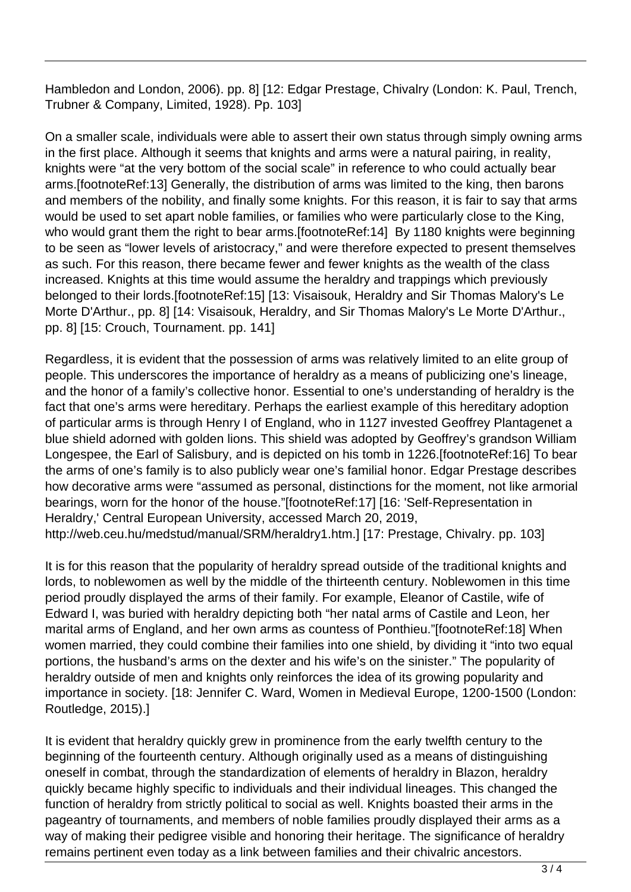Hambledon and London, 2006). pp. 8] [12: Edgar Prestage, Chivalry (London: K. Paul, Trench, Trubner & Company, Limited, 1928). Pp. 103]

On a smaller scale, individuals were able to assert their own status through simply owning arms in the first place. Although it seems that knights and arms were a natural pairing, in reality, knights were "at the very bottom of the social scale" in reference to who could actually bear arms.[footnoteRef:13] Generally, the distribution of arms was limited to the king, then barons and members of the nobility, and finally some knights. For this reason, it is fair to say that arms would be used to set apart noble families, or families who were particularly close to the King, who would grant them the right to bear arms.[footnoteRef:14] By 1180 knights were beginning to be seen as "lower levels of aristocracy," and were therefore expected to present themselves as such. For this reason, there became fewer and fewer knights as the wealth of the class increased. Knights at this time would assume the heraldry and trappings which previously belonged to their lords.[footnoteRef:15] [13: Visaisouk, Heraldry and Sir Thomas Malory's Le Morte D'Arthur., pp. 8] [14: Visaisouk, Heraldry, and Sir Thomas Malory's Le Morte D'Arthur., pp. 8] [15: Crouch, Tournament. pp. 141]

Regardless, it is evident that the possession of arms was relatively limited to an elite group of people. This underscores the importance of heraldry as a means of publicizing one's lineage, and the honor of a family's collective honor. Essential to one's understanding of heraldry is the fact that one's arms were hereditary. Perhaps the earliest example of this hereditary adoption of particular arms is through Henry I of England, who in 1127 invested Geoffrey Plantagenet a blue shield adorned with golden lions. This shield was adopted by Geoffrey's grandson William Longespee, the Earl of Salisbury, and is depicted on his tomb in 1226.[footnoteRef:16] To bear the arms of one's family is to also publicly wear one's familial honor. Edgar Prestage describes how decorative arms were "assumed as personal, distinctions for the moment, not like armorial bearings, worn for the honor of the house."[footnoteRef:17] [16: 'Self-Representation in Heraldry,' Central European University, accessed March 20, 2019, http://web.ceu.hu/medstud/manual/SRM/heraldry1.htm.] [17: Prestage, Chivalry. pp. 103]

It is for this reason that the popularity of heraldry spread outside of the traditional knights and lords, to noblewomen as well by the middle of the thirteenth century. Noblewomen in this time period proudly displayed the arms of their family. For example, Eleanor of Castile, wife of Edward I, was buried with heraldry depicting both "her natal arms of Castile and Leon, her marital arms of England, and her own arms as countess of Ponthieu."[footnoteRef:18] When women married, they could combine their families into one shield, by dividing it "into two equal portions, the husband's arms on the dexter and his wife's on the sinister." The popularity of heraldry outside of men and knights only reinforces the idea of its growing popularity and importance in society. [18: Jennifer C. Ward, Women in Medieval Europe, 1200-1500 (London: Routledge, 2015).]

It is evident that heraldry quickly grew in prominence from the early twelfth century to the beginning of the fourteenth century. Although originally used as a means of distinguishing oneself in combat, through the standardization of elements of heraldry in Blazon, heraldry quickly became highly specific to individuals and their individual lineages. This changed the function of heraldry from strictly political to social as well. Knights boasted their arms in the pageantry of tournaments, and members of noble families proudly displayed their arms as a way of making their pedigree visible and honoring their heritage. The significance of heraldry remains pertinent even today as a link between families and their chivalric ancestors.